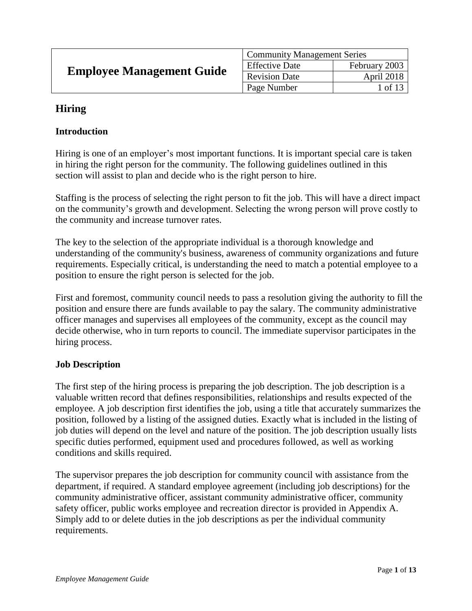| <b>Employee Management Guide</b> | <b>Community Management Series</b> |               |
|----------------------------------|------------------------------------|---------------|
|                                  | <b>Effective Date</b>              | February 2003 |
|                                  | <b>Revision Date</b>               | April 2018    |
|                                  | Page Number                        | l of 13       |

# **Hiring**

### **Introduction**

Hiring is one of an employer's most important functions. It is important special care is taken in hiring the right person for the community. The following guidelines outlined in this section will assist to plan and decide who is the right person to hire.

Staffing is the process of selecting the right person to fit the job. This will have a direct impact on the community's growth and development. Selecting the wrong person will prove costly to the community and increase turnover rates.

The key to the selection of the appropriate individual is a thorough knowledge and understanding of the community's business, awareness of community organizations and future requirements. Especially critical, is understanding the need to match a potential employee to a position to ensure the right person is selected for the job.

First and foremost, community council needs to pass a resolution giving the authority to fill the position and ensure there are funds available to pay the salary. The community administrative officer manages and supervises all employees of the community, except as the council may decide otherwise, who in turn reports to council. The immediate supervisor participates in the hiring process.

### **Job Description**

The first step of the hiring process is preparing the job description. The job description is a valuable written record that defines responsibilities, relationships and results expected of the employee. A job description first identifies the job, using a title that accurately summarizes the position, followed by a listing of the assigned duties. Exactly what is included in the listing of job duties will depend on the level and nature of the position. The job description usually lists specific duties performed, equipment used and procedures followed, as well as working conditions and skills required.

The supervisor prepares the job description for community council with assistance from the department, if required. A standard employee agreement (including job descriptions) for the community administrative officer, assistant community administrative officer, community safety officer, public works employee and recreation director is provided in Appendix A. Simply add to or delete duties in the job descriptions as per the individual community requirements.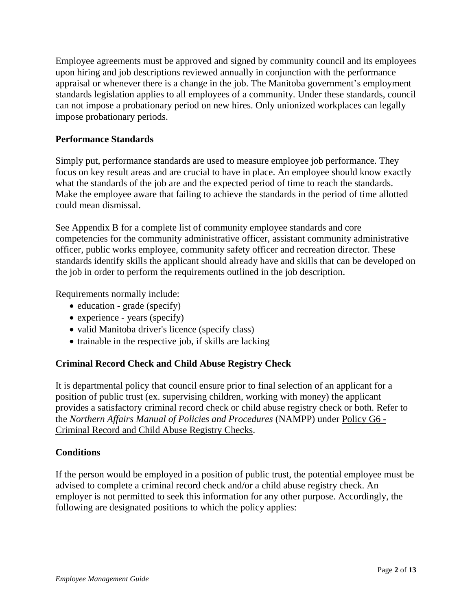Employee agreements must be approved and signed by community council and its employees upon hiring and job descriptions reviewed annually in conjunction with the performance appraisal or whenever there is a change in the job. The Manitoba government's employment standards legislation applies to all employees of a community. Under these standards, council can not impose a probationary period on new hires. Only unionized workplaces can legally impose probationary periods.

### **Performance Standards**

Simply put, performance standards are used to measure employee job performance. They focus on key result areas and are crucial to have in place. An employee should know exactly what the standards of the job are and the expected period of time to reach the standards. Make the employee aware that failing to achieve the standards in the period of time allotted could mean dismissal.

See Appendix B for a complete list of community employee standards and core competencies for the community administrative officer, assistant community administrative officer, public works employee, community safety officer and recreation director. These standards identify skills the applicant should already have and skills that can be developed on the job in order to perform the requirements outlined in the job description.

Requirements normally include:

- $\bullet$  education grade (specify)
- experience years (specify)
- valid Manitoba driver's licence (specify class)
- $\bullet$  trainable in the respective job, if skills are lacking

## **Criminal Record Check and Child Abuse Registry Check**

It is departmental policy that council ensure prior to final selection of an applicant for a position of public trust (ex. supervising children, working with money) the applicant provides a satisfactory criminal record check or child abuse registry check or both. Refer to the *Northern Affairs Manual of Policies and Procedures* (NAMPP) under Policy G6 - Criminal Record and Child Abuse Registry Checks.

## **Conditions**

If the person would be employed in a position of public trust, the potential employee must be advised to complete a criminal record check and/or a child abuse registry check. An employer is not permitted to seek this information for any other purpose. Accordingly, the following are designated positions to which the policy applies: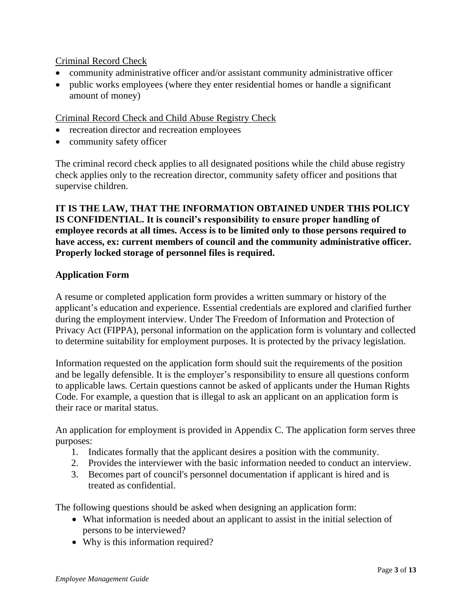### Criminal Record Check

- community administrative officer and/or assistant community administrative officer
- public works employees (where they enter residential homes or handle a significant amount of money)

### Criminal Record Check and Child Abuse Registry Check

- recreation director and recreation employees
- community safety officer

The criminal record check applies to all designated positions while the child abuse registry check applies only to the recreation director, community safety officer and positions that supervise children.

### **IT IS THE LAW, THAT THE INFORMATION OBTAINED UNDER THIS POLICY IS CONFIDENTIAL. It is council's responsibility to ensure proper handling of employee records at all times. Access is to be limited only to those persons required to have access, ex: current members of council and the community administrative officer. Properly locked storage of personnel files is required.**

### **Application Form**

A resume or completed application form provides a written summary or history of the applicant's education and experience. Essential credentials are explored and clarified further during the employment interview. Under The Freedom of Information and Protection of Privacy Act (FIPPA), personal information on the application form is voluntary and collected to determine suitability for employment purposes. It is protected by the privacy legislation.

Information requested on the application form should suit the requirements of the position and be legally defensible. It is the employer's responsibility to ensure all questions conform to applicable laws. Certain questions cannot be asked of applicants under the Human Rights Code. For example, a question that is illegal to ask an applicant on an application form is their race or marital status.

An application for employment is provided in Appendix C. The application form serves three purposes:

- 1. Indicates formally that the applicant desires a position with the community.
- 2. Provides the interviewer with the basic information needed to conduct an interview.
- 3. Becomes part of council's personnel documentation if applicant is hired and is treated as confidential.

The following questions should be asked when designing an application form:

- What information is needed about an applicant to assist in the initial selection of persons to be interviewed?
- Why is this information required?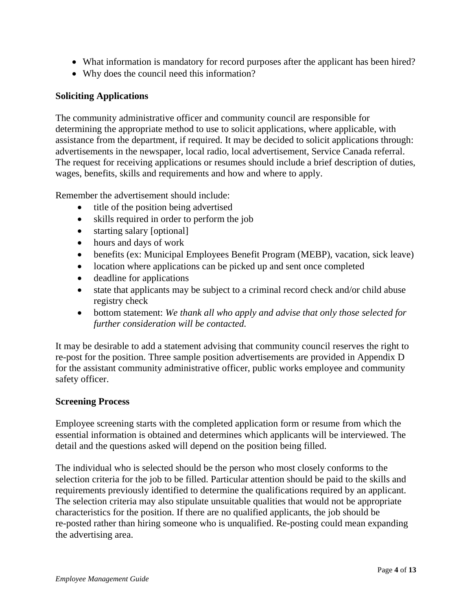- What information is mandatory for record purposes after the applicant has been hired?
- Why does the council need this information?

#### **Soliciting Applications**

The community administrative officer and community council are responsible for determining the appropriate method to use to solicit applications, where applicable, with assistance from the department, if required. It may be decided to solicit applications through: advertisements in the newspaper, local radio, local advertisement, Service Canada referral. The request for receiving applications or resumes should include a brief description of duties, wages, benefits, skills and requirements and how and where to apply.

Remember the advertisement should include:

- title of the position being advertised
- skills required in order to perform the job
- starting salary [optional]
- hours and days of work
- benefits (ex: Municipal Employees Benefit Program (MEBP), vacation, sick leave)
- location where applications can be picked up and sent once completed
- deadline for applications
- state that applicants may be subject to a criminal record check and/or child abuse registry check
- bottom statement: *We thank all who apply and advise that only those selected for further consideration will be contacted.*

It may be desirable to add a statement advising that community council reserves the right to re-post for the position. Three sample position advertisements are provided in Appendix D for the assistant community administrative officer, public works employee and community safety officer.

#### **Screening Process**

Employee screening starts with the completed application form or resume from which the essential information is obtained and determines which applicants will be interviewed. The detail and the questions asked will depend on the position being filled.

The individual who is selected should be the person who most closely conforms to the selection criteria for the job to be filled. Particular attention should be paid to the skills and requirements previously identified to determine the qualifications required by an applicant. The selection criteria may also stipulate unsuitable qualities that would not be appropriate characteristics for the position. If there are no qualified applicants, the job should be re-posted rather than hiring someone who is unqualified. Re-posting could mean expanding the advertising area.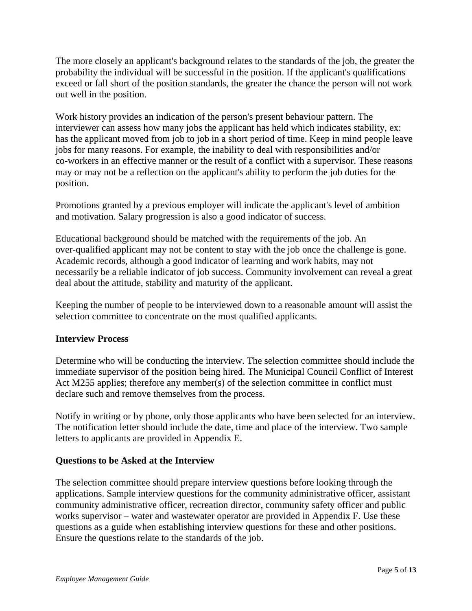The more closely an applicant's background relates to the standards of the job, the greater the probability the individual will be successful in the position. If the applicant's qualifications exceed or fall short of the position standards, the greater the chance the person will not work out well in the position.

Work history provides an indication of the person's present behaviour pattern. The interviewer can assess how many jobs the applicant has held which indicates stability, ex: has the applicant moved from job to job in a short period of time. Keep in mind people leave jobs for many reasons. For example, the inability to deal with responsibilities and/or co-workers in an effective manner or the result of a conflict with a supervisor. These reasons may or may not be a reflection on the applicant's ability to perform the job duties for the position.

Promotions granted by a previous employer will indicate the applicant's level of ambition and motivation. Salary progression is also a good indicator of success.

Educational background should be matched with the requirements of the job. An over-qualified applicant may not be content to stay with the job once the challenge is gone. Academic records, although a good indicator of learning and work habits, may not necessarily be a reliable indicator of job success. Community involvement can reveal a great deal about the attitude, stability and maturity of the applicant.

Keeping the number of people to be interviewed down to a reasonable amount will assist the selection committee to concentrate on the most qualified applicants.

### **Interview Process**

Determine who will be conducting the interview. The selection committee should include the immediate supervisor of the position being hired. The Municipal Council Conflict of Interest Act M255 applies; therefore any member(s) of the selection committee in conflict must declare such and remove themselves from the process.

Notify in writing or by phone, only those applicants who have been selected for an interview. The notification letter should include the date, time and place of the interview. Two sample letters to applicants are provided in Appendix E.

### **Questions to be Asked at the Interview**

The selection committee should prepare interview questions before looking through the applications. Sample interview questions for the community administrative officer, assistant community administrative officer, recreation director, community safety officer and public works supervisor – water and wastewater operator are provided in Appendix F. Use these questions as a guide when establishing interview questions for these and other positions. Ensure the questions relate to the standards of the job.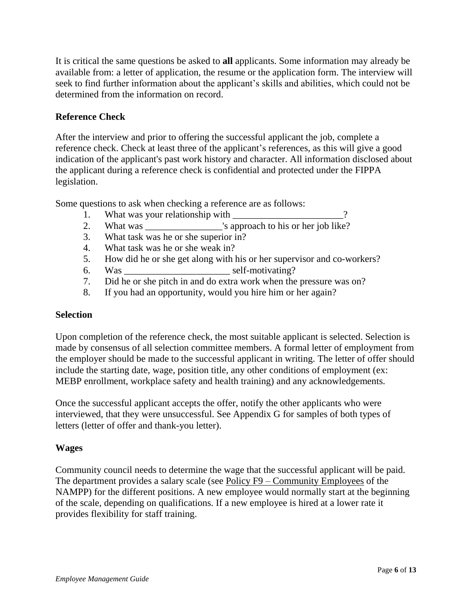It is critical the same questions be asked to **all** applicants. Some information may already be available from: a letter of application, the resume or the application form. The interview will seek to find further information about the applicant's skills and abilities, which could not be determined from the information on record.

### **Reference Check**

After the interview and prior to offering the successful applicant the job, complete a reference check. Check at least three of the applicant's references, as this will give a good indication of the applicant's past work history and character. All information disclosed about the applicant during a reference check is confidential and protected under the FIPPA legislation.

Some questions to ask when checking a reference are as follows:

- 1. What was your relationship with 2
- 2. What was vertex is approach to his or her job like?
- 3. What task was he or she superior in?
- 4. What task was he or she weak in?
- 5. How did he or she get along with his or her supervisor and co-workers?
- 6. Was \_\_\_\_\_\_\_\_\_\_\_\_\_\_\_\_\_\_\_\_\_\_ self-motivating?
- 7. Did he or she pitch in and do extra work when the pressure was on?
- 8. If you had an opportunity, would you hire him or her again?

### **Selection**

Upon completion of the reference check, the most suitable applicant is selected. Selection is made by consensus of all selection committee members. A formal letter of employment from the employer should be made to the successful applicant in writing. The letter of offer should include the starting date, wage, position title, any other conditions of employment (ex: MEBP enrollment, workplace safety and health training) and any acknowledgements.

Once the successful applicant accepts the offer, notify the other applicants who were interviewed, that they were unsuccessful. See Appendix G for samples of both types of letters (letter of offer and thank-you letter).

### **Wages**

Community council needs to determine the wage that the successful applicant will be paid. The department provides a salary scale (see Policy F9 – Community Employees of the NAMPP) for the different positions. A new employee would normally start at the beginning of the scale, depending on qualifications. If a new employee is hired at a lower rate it provides flexibility for staff training.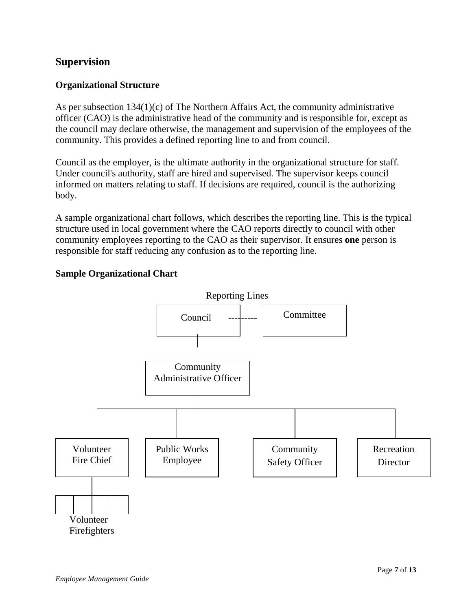## **Supervision**

### **Organizational Structure**

As per subsection 134(1)(c) of The Northern Affairs Act, the community administrative officer (CAO) is the administrative head of the community and is responsible for, except as the council may declare otherwise, the management and supervision of the employees of the community. This provides a defined reporting line to and from council.

Council as the employer, is the ultimate authority in the organizational structure for staff. Under council's authority, staff are hired and supervised. The supervisor keeps council informed on matters relating to staff. If decisions are required, council is the authorizing body.

A sample organizational chart follows, which describes the reporting line. This is the typical structure used in local government where the CAO reports directly to council with other community employees reporting to the CAO as their supervisor. It ensures **one** person is responsible for staff reducing any confusion as to the reporting line.



### **Sample Organizational Chart**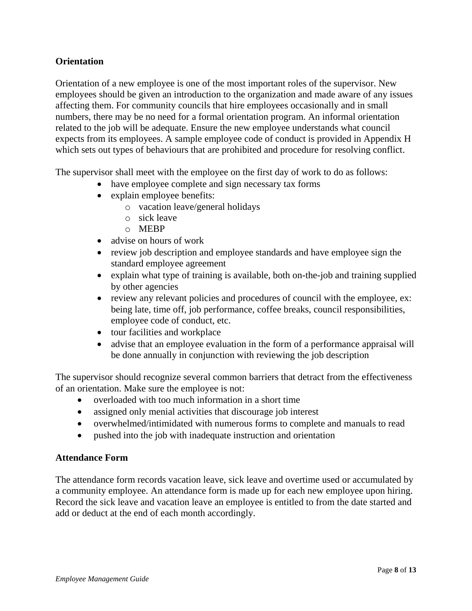### **Orientation**

Orientation of a new employee is one of the most important roles of the supervisor. New employees should be given an introduction to the organization and made aware of any issues affecting them. For community councils that hire employees occasionally and in small numbers, there may be no need for a formal orientation program. An informal orientation related to the job will be adequate. Ensure the new employee understands what council expects from its employees. A sample employee code of conduct is provided in Appendix H which sets out types of behaviours that are prohibited and procedure for resolving conflict.

The supervisor shall meet with the employee on the first day of work to do as follows:

- have employee complete and sign necessary tax forms
- explain employee benefits:
	- o vacation leave/general holidays
	- o sick leave
	- o MEBP
- advise on hours of work
- review job description and employee standards and have employee sign the standard employee agreement
- explain what type of training is available, both on-the-job and training supplied by other agencies
- review any relevant policies and procedures of council with the employee, ex: being late, time off, job performance, coffee breaks, council responsibilities, employee code of conduct, etc.
- tour facilities and workplace
- advise that an employee evaluation in the form of a performance appraisal will be done annually in conjunction with reviewing the job description

The supervisor should recognize several common barriers that detract from the effectiveness of an orientation. Make sure the employee is not:

- overloaded with too much information in a short time
- assigned only menial activities that discourage job interest
- overwhelmed/intimidated with numerous forms to complete and manuals to read
- pushed into the job with inadequate instruction and orientation

### **Attendance Form**

The attendance form records vacation leave, sick leave and overtime used or accumulated by a community employee. An attendance form is made up for each new employee upon hiring. Record the sick leave and vacation leave an employee is entitled to from the date started and add or deduct at the end of each month accordingly.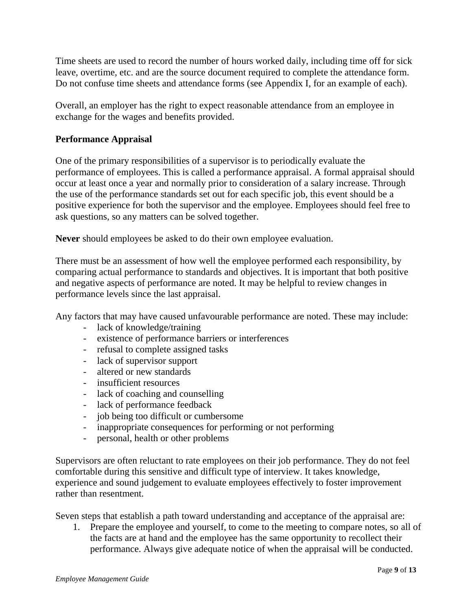Time sheets are used to record the number of hours worked daily, including time off for sick leave, overtime, etc. and are the source document required to complete the attendance form. Do not confuse time sheets and attendance forms (see Appendix I, for an example of each).

Overall, an employer has the right to expect reasonable attendance from an employee in exchange for the wages and benefits provided.

### **Performance Appraisal**

One of the primary responsibilities of a supervisor is to periodically evaluate the performance of employees. This is called a performance appraisal. A formal appraisal should occur at least once a year and normally prior to consideration of a salary increase. Through the use of the performance standards set out for each specific job, this event should be a positive experience for both the supervisor and the employee. Employees should feel free to ask questions, so any matters can be solved together.

**Never** should employees be asked to do their own employee evaluation.

There must be an assessment of how well the employee performed each responsibility, by comparing actual performance to standards and objectives. It is important that both positive and negative aspects of performance are noted. It may be helpful to review changes in performance levels since the last appraisal.

Any factors that may have caused unfavourable performance are noted. These may include:

- lack of knowledge/training
- existence of performance barriers or interferences
- refusal to complete assigned tasks
- lack of supervisor support
- altered or new standards
- insufficient resources
- lack of coaching and counselling
- lack of performance feedback
- job being too difficult or cumbersome
- inappropriate consequences for performing or not performing
- personal, health or other problems

Supervisors are often reluctant to rate employees on their job performance. They do not feel comfortable during this sensitive and difficult type of interview. It takes knowledge, experience and sound judgement to evaluate employees effectively to foster improvement rather than resentment.

Seven steps that establish a path toward understanding and acceptance of the appraisal are:

1. Prepare the employee and yourself, to come to the meeting to compare notes, so all of the facts are at hand and the employee has the same opportunity to recollect their performance. Always give adequate notice of when the appraisal will be conducted.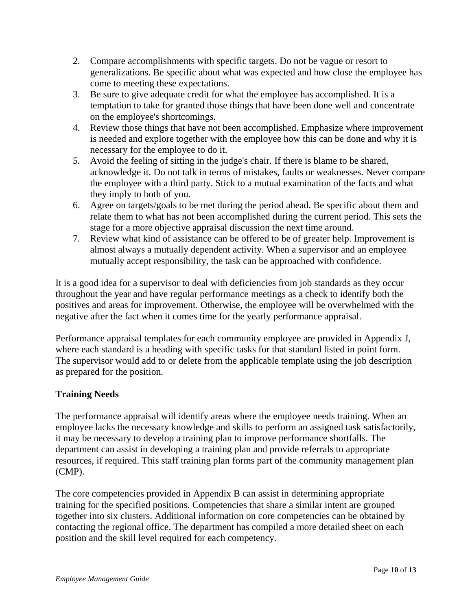- 2. Compare accomplishments with specific targets. Do not be vague or resort to generalizations. Be specific about what was expected and how close the employee has come to meeting these expectations.
- 3. Be sure to give adequate credit for what the employee has accomplished. It is a temptation to take for granted those things that have been done well and concentrate on the employee's shortcomings.
- 4. Review those things that have not been accomplished. Emphasize where improvement is needed and explore together with the employee how this can be done and why it is necessary for the employee to do it.
- 5. Avoid the feeling of sitting in the judge's chair. If there is blame to be shared, acknowledge it. Do not talk in terms of mistakes, faults or weaknesses. Never compare the employee with a third party. Stick to a mutual examination of the facts and what they imply to both of you.
- 6. Agree on targets/goals to be met during the period ahead. Be specific about them and relate them to what has not been accomplished during the current period. This sets the stage for a more objective appraisal discussion the next time around.
- 7. Review what kind of assistance can be offered to be of greater help. Improvement is almost always a mutually dependent activity. When a supervisor and an employee mutually accept responsibility, the task can be approached with confidence.

It is a good idea for a supervisor to deal with deficiencies from job standards as they occur throughout the year and have regular performance meetings as a check to identify both the positives and areas for improvement. Otherwise, the employee will be overwhelmed with the negative after the fact when it comes time for the yearly performance appraisal.

Performance appraisal templates for each community employee are provided in Appendix J, where each standard is a heading with specific tasks for that standard listed in point form. The supervisor would add to or delete from the applicable template using the job description as prepared for the position.

# **Training Needs**

The performance appraisal will identify areas where the employee needs training. When an employee lacks the necessary knowledge and skills to perform an assigned task satisfactorily, it may be necessary to develop a training plan to improve performance shortfalls. The department can assist in developing a training plan and provide referrals to appropriate resources, if required. This staff training plan forms part of the community management plan (CMP).

The core competencies provided in Appendix B can assist in determining appropriate training for the specified positions. Competencies that share a similar intent are grouped together into six clusters. Additional information on core competencies can be obtained by contacting the regional office. The department has compiled a more detailed sheet on each position and the skill level required for each competency.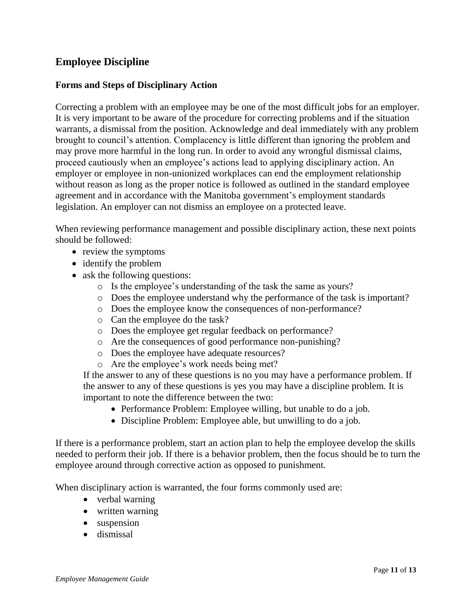# **Employee Discipline**

#### **Forms and Steps of Disciplinary Action**

Correcting a problem with an employee may be one of the most difficult jobs for an employer. It is very important to be aware of the procedure for correcting problems and if the situation warrants, a dismissal from the position. Acknowledge and deal immediately with any problem brought to council's attention. Complacency is little different than ignoring the problem and may prove more harmful in the long run. In order to avoid any wrongful dismissal claims, proceed cautiously when an employee's actions lead to applying disciplinary action. An employer or employee in non-unionized workplaces can end the employment relationship without reason as long as the proper notice is followed as outlined in the standard employee agreement and in accordance with the Manitoba government's employment standards legislation. An employer can not dismiss an employee on a protected leave.

When reviewing performance management and possible disciplinary action, these next points should be followed:

- review the symptoms
- identify the problem
- ask the following questions:
	- o Is the employee's understanding of the task the same as yours?
	- o Does the employee understand why the performance of the task is important?
	- o Does the employee know the consequences of non-performance?
	- o Can the employee do the task?
	- o Does the employee get regular feedback on performance?
	- o Are the consequences of good performance non-punishing?
	- o Does the employee have adequate resources?
	- o Are the employee's work needs being met?

If the answer to any of these questions is no you may have a performance problem. If the answer to any of these questions is yes you may have a discipline problem. It is important to note the difference between the two:

- Performance Problem: Employee willing, but unable to do a job.
- Discipline Problem: Employee able, but unwilling to do a job.

If there is a performance problem, start an action plan to help the employee develop the skills needed to perform their job. If there is a behavior problem, then the focus should be to turn the employee around through corrective action as opposed to punishment.

When disciplinary action is warranted, the four forms commonly used are:

- verbal warning
- written warning
- suspension
- dismissal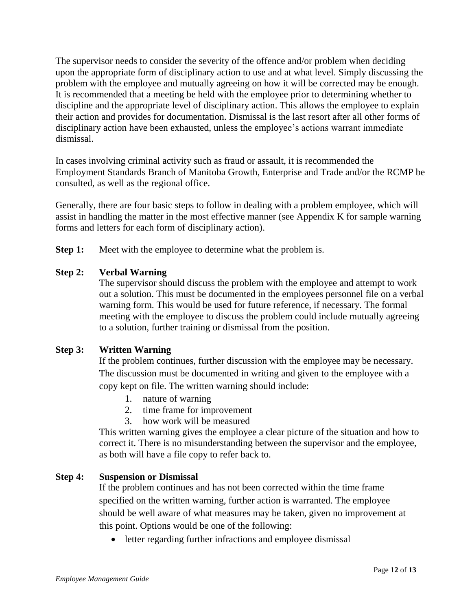The supervisor needs to consider the severity of the offence and/or problem when deciding upon the appropriate form of disciplinary action to use and at what level. Simply discussing the problem with the employee and mutually agreeing on how it will be corrected may be enough. It is recommended that a meeting be held with the employee prior to determining whether to discipline and the appropriate level of disciplinary action. This allows the employee to explain their action and provides for documentation. Dismissal is the last resort after all other forms of disciplinary action have been exhausted, unless the employee's actions warrant immediate dismissal.

In cases involving criminal activity such as fraud or assault, it is recommended the Employment Standards Branch of Manitoba Growth, Enterprise and Trade and/or the RCMP be consulted, as well as the regional office.

Generally, there are four basic steps to follow in dealing with a problem employee, which will assist in handling the matter in the most effective manner (see Appendix K for sample warning forms and letters for each form of disciplinary action).

**Step 1:** Meet with the employee to determine what the problem is.

### **Step 2: Verbal Warning**

The supervisor should discuss the problem with the employee and attempt to work out a solution. This must be documented in the employees personnel file on a verbal warning form. This would be used for future reference, if necessary. The formal meeting with the employee to discuss the problem could include mutually agreeing to a solution, further training or dismissal from the position.

### **Step 3: Written Warning**

If the problem continues, further discussion with the employee may be necessary. The discussion must be documented in writing and given to the employee with a copy kept on file. The written warning should include:

- 1. nature of warning
- 2. time frame for improvement
- 3. how work will be measured

This written warning gives the employee a clear picture of the situation and how to correct it. There is no misunderstanding between the supervisor and the employee, as both will have a file copy to refer back to.

### **Step 4: Suspension or Dismissal**

If the problem continues and has not been corrected within the time frame specified on the written warning, further action is warranted. The employee should be well aware of what measures may be taken, given no improvement at this point. Options would be one of the following:

• letter regarding further infractions and employee dismissal